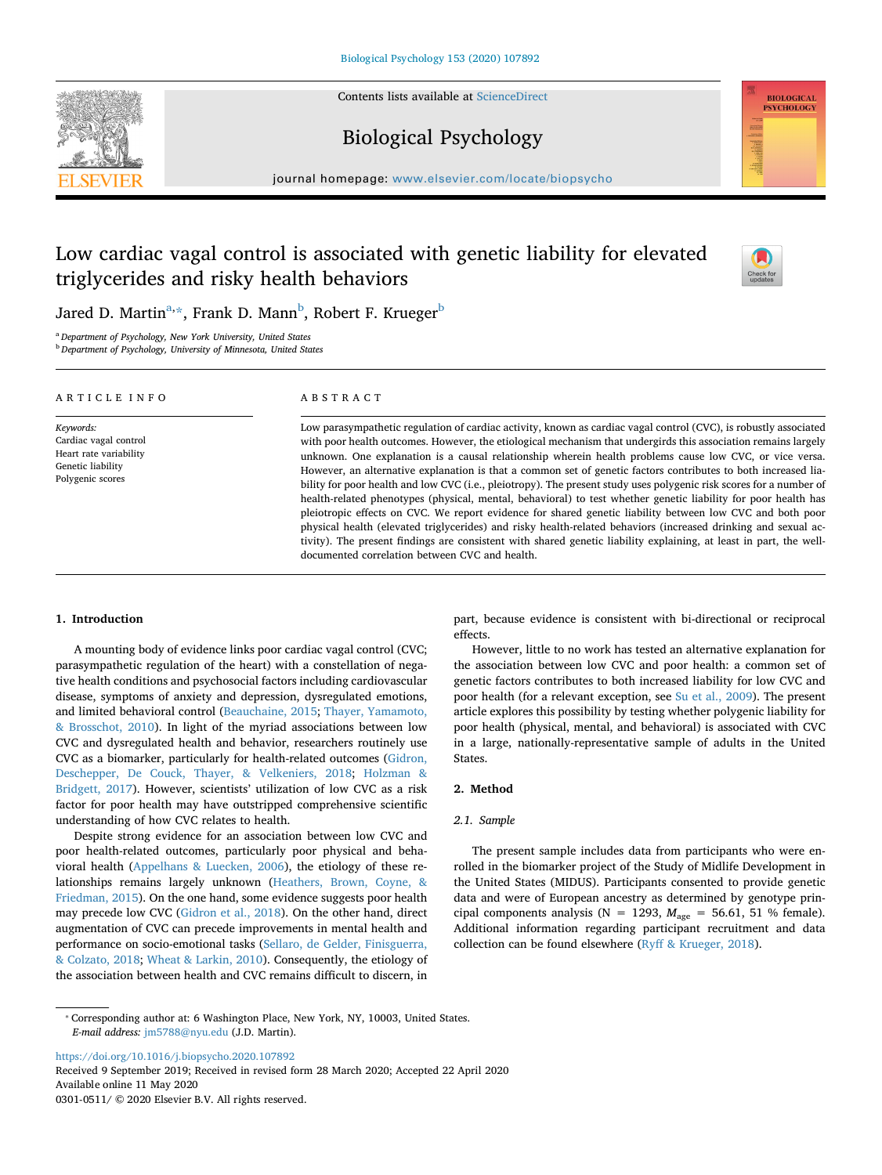Contents lists available at [ScienceDirect](http://www.sciencedirect.com/science/journal/03010511)





# Biological Psychology

journal homepage: [www.elsevier.com/locate/biopsycho](https://www.elsevier.com/locate/biopsycho)

# Low cardiac vagal control is associated with genetic liability for elevated triglycerides and risky health behaviors



Jared D. Martin<sup>a,</sup>[\\*,](#page-0-1) Frank D. Mann<sup>[b](#page-0-2)</sup>, Robert F. Krueger<sup>b</sup>

<span id="page-0-0"></span><sup>a</sup> *Department of Psychology, New York University, United States*

<span id="page-0-2"></span><sup>b</sup> *Department of Psychology, University of Minnesota, United States*

| ARTICLE INFO                                                                                          | ABSTRACT                                                                                                                                                                                                                                                                                                                                                                                                                                                                                                                                                                                                                                                                                                                                                                                                                                                                                                                                                                                                                                                                                                        |
|-------------------------------------------------------------------------------------------------------|-----------------------------------------------------------------------------------------------------------------------------------------------------------------------------------------------------------------------------------------------------------------------------------------------------------------------------------------------------------------------------------------------------------------------------------------------------------------------------------------------------------------------------------------------------------------------------------------------------------------------------------------------------------------------------------------------------------------------------------------------------------------------------------------------------------------------------------------------------------------------------------------------------------------------------------------------------------------------------------------------------------------------------------------------------------------------------------------------------------------|
| Keywords:<br>Cardiac vagal control<br>Heart rate variability<br>Genetic liability<br>Polygenic scores | Low parasympathetic regulation of cardiac activity, known as cardiac vagal control (CVC), is robustly associated<br>with poor health outcomes. However, the etiological mechanism that undergirds this association remains largely<br>unknown. One explanation is a causal relationship wherein health problems cause low CVC, or vice versa.<br>However, an alternative explanation is that a common set of genetic factors contributes to both increased lia-<br>bility for poor health and low CVC (i.e., pleiotropy). The present study uses polygenic risk scores for a number of<br>health-related phenotypes (physical, mental, behavioral) to test whether genetic liability for poor health has<br>pleiotropic effects on CVC. We report evidence for shared genetic liability between low CVC and both poor<br>physical health (elevated triglycerides) and risky health-related behaviors (increased drinking and sexual ac-<br>tivity). The present findings are consistent with shared genetic liability explaining, at least in part, the well-<br>documented correlation between CVC and health. |

# **1. Introduction**

A mounting body of evidence links poor cardiac vagal control (CVC; parasympathetic regulation of the heart) with a constellation of negative health conditions and psychosocial factors including cardiovascular disease, symptoms of anxiety and depression, dysregulated emotions, and limited behavioral control [\(Beauchaine, 2015](#page-3-0); [Thayer, Yamamoto,](#page-3-1) [& Brosschot, 2010](#page-3-1)). In light of the myriad associations between low CVC and dysregulated health and behavior, researchers routinely use CVC as a biomarker, particularly for health-related outcomes [\(Gidron,](#page-3-2) [Deschepper, De Couck, Thayer, & Velkeniers, 2018;](#page-3-2) [Holzman &](#page-3-3) [Bridgett, 2017\)](#page-3-3). However, scientists' utilization of low CVC as a risk factor for poor health may have outstripped comprehensive scientific understanding of how CVC relates to health.

Despite strong evidence for an association between low CVC and poor health-related outcomes, particularly poor physical and behavioral health [\(Appelhans & Luecken, 2006\)](#page-3-4), the etiology of these relationships remains largely unknown ([Heathers, Brown, Coyne, &](#page-3-5) [Friedman, 2015](#page-3-5)). On the one hand, some evidence suggests poor health may precede low CVC ([Gidron et al., 2018\)](#page-3-2). On the other hand, direct augmentation of CVC can precede improvements in mental health and performance on socio-emotional tasks [\(Sellaro, de Gelder, Finisguerra,](#page-3-6) [& Colzato, 2018;](#page-3-6) [Wheat & Larkin, 2010](#page-4-0)). Consequently, the etiology of the association between health and CVC remains difficult to discern, in

part, because evidence is consistent with bi-directional or reciprocal effects.

However, little to no work has tested an alternative explanation for the association between low CVC and poor health: a common set of genetic factors contributes to both increased liability for low CVC and poor health (for a relevant exception, see [Su et al., 2009](#page-3-7)). The present article explores this possibility by testing whether polygenic liability for poor health (physical, mental, and behavioral) is associated with CVC in a large, nationally-representative sample of adults in the United States.

# **2. Method**

## *2.1. Sample*

The present sample includes data from participants who were enrolled in the biomarker project of the Study of Midlife Development in the United States (MIDUS). Participants consented to provide genetic data and were of European ancestry as determined by genotype principal components analysis ( $N = 1293$ ,  $M_{\text{age}} = 56.61$ , 51 % female). Additional information regarding participant recruitment and data collection can be found elsewhere [\(Ryff & Krueger, 2018\)](#page-3-8).

<https://doi.org/10.1016/j.biopsycho.2020.107892>

Received 9 September 2019; Received in revised form 28 March 2020; Accepted 22 April 2020 Available online 11 May 2020 0301-0511/ © 2020 Elsevier B.V. All rights reserved.

<span id="page-0-1"></span><sup>⁎</sup> Corresponding author at: 6 Washington Place, New York, NY, 10003, United States. *E-mail address:* [jm5788@nyu.edu](mailto:jm5788@nyu.edu) (J.D. Martin).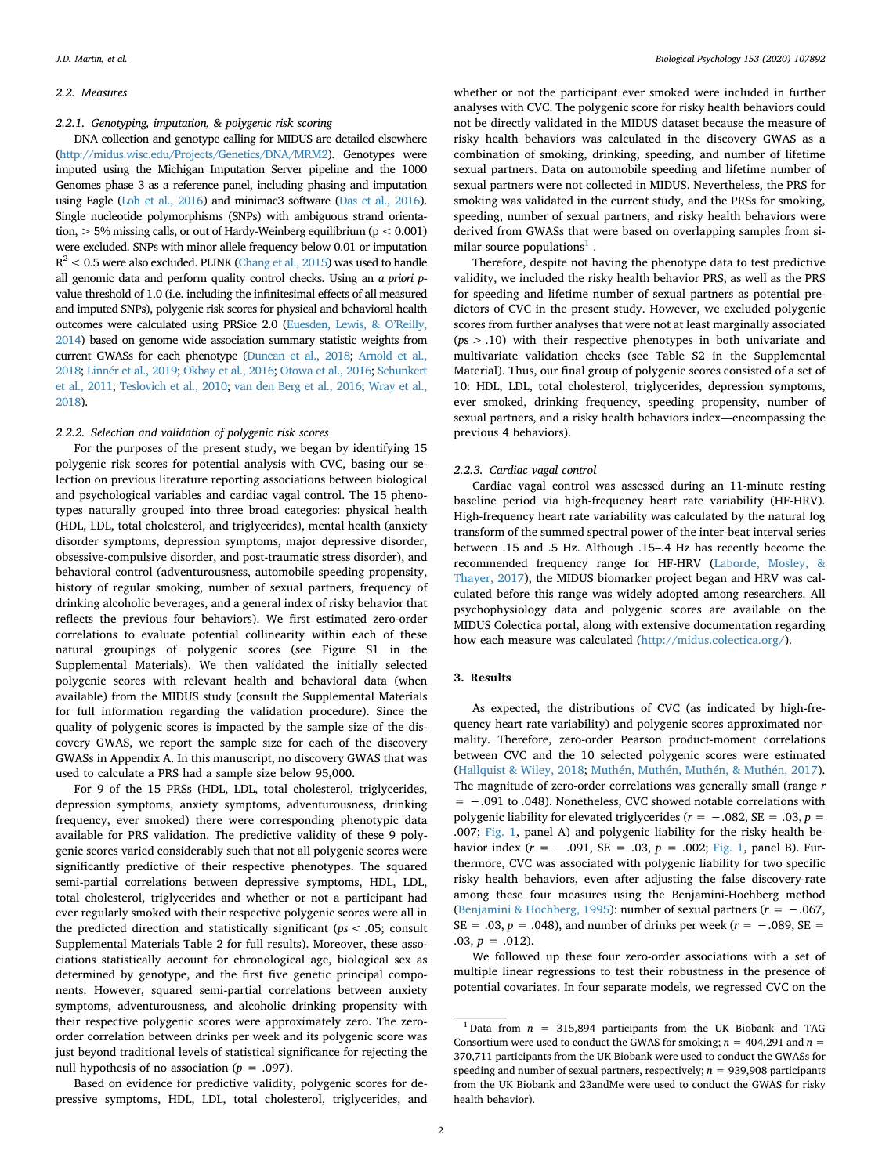### *2.2. Measures*

*2.2.1. Genotyping, imputation, & polygenic risk scoring*

DNA collection and genotype calling for MIDUS are detailed elsewhere [\(http://midus.wisc.edu/Projects/Genetics/DNA/MRM2](http://midus.wisc.edu/Projects/Genetics/DNA/MRM2)). Genotypes were imputed using the Michigan Imputation Server pipeline and the 1000 Genomes phase 3 as a reference panel, including phasing and imputation using Eagle [\(Loh et al., 2016](#page-3-9)) and minimac3 software [\(Das et al., 2016\)](#page-3-10). Single nucleotide polymorphisms (SNPs) with ambiguous strand orientation,  $> 5\%$  missing calls, or out of Hardy-Weinberg equilibrium ( $p < 0.001$ ) were excluded. SNPs with minor allele frequency below 0.01 or imputation  $R^2$  < 0.5 were also excluded. PLINK [\(Chang et al., 2015](#page-3-11)) was used to handle all genomic data and perform quality control checks. Using an *a priori p*value threshold of 1.0 (i.e. including the infinitesimal effects of all measured and imputed SNPs), polygenic risk scores for physical and behavioral health outcomes were calculated using PRSice 2.0 ([Euesden, Lewis, & O'Reilly,](#page-3-12) [2014\)](#page-3-12) based on genome wide association summary statistic weights from current GWASs for each phenotype [\(Duncan et al., 2018](#page-3-13); [Arnold et al.,](#page-3-14) [2018;](#page-3-14) [Linnér et al., 2019;](#page-3-15) [Okbay et al., 2016](#page-3-16); [Otowa et al., 2016;](#page-3-17) [Schunkert](#page-3-18) [et al., 2011](#page-3-18); [Teslovich et al., 2010](#page-3-19); [van den Berg et al., 2016](#page-3-20); [Wray et al.,](#page-4-1) [2018\)](#page-4-1).

## *2.2.2. Selection and validation of polygenic risk scores*

For the purposes of the present study, we began by identifying 15 polygenic risk scores for potential analysis with CVC, basing our selection on previous literature reporting associations between biological and psychological variables and cardiac vagal control. The 15 phenotypes naturally grouped into three broad categories: physical health (HDL, LDL, total cholesterol, and triglycerides), mental health (anxiety disorder symptoms, depression symptoms, major depressive disorder, obsessive-compulsive disorder, and post-traumatic stress disorder), and behavioral control (adventurousness, automobile speeding propensity, history of regular smoking, number of sexual partners, frequency of drinking alcoholic beverages, and a general index of risky behavior that reflects the previous four behaviors). We first estimated zero-order correlations to evaluate potential collinearity within each of these natural groupings of polygenic scores (see Figure S1 in the Supplemental Materials). We then validated the initially selected polygenic scores with relevant health and behavioral data (when available) from the MIDUS study (consult the Supplemental Materials for full information regarding the validation procedure). Since the quality of polygenic scores is impacted by the sample size of the discovery GWAS, we report the sample size for each of the discovery GWASs in Appendix A. In this manuscript, no discovery GWAS that was used to calculate a PRS had a sample size below 95,000.

For 9 of the 15 PRSs (HDL, LDL, total cholesterol, triglycerides, depression symptoms, anxiety symptoms, adventurousness, drinking frequency, ever smoked) there were corresponding phenotypic data available for PRS validation. The predictive validity of these 9 polygenic scores varied considerably such that not all polygenic scores were significantly predictive of their respective phenotypes. The squared semi-partial correlations between depressive symptoms, HDL, LDL, total cholesterol, triglycerides and whether or not a participant had ever regularly smoked with their respective polygenic scores were all in the predicted direction and statistically significant (*ps* < .05; consult Supplemental Materials Table 2 for full results). Moreover, these associations statistically account for chronological age, biological sex as determined by genotype, and the first five genetic principal components. However, squared semi-partial correlations between anxiety symptoms, adventurousness, and alcoholic drinking propensity with their respective polygenic scores were approximately zero. The zeroorder correlation between drinks per week and its polygenic score was just beyond traditional levels of statistical significance for rejecting the null hypothesis of no association (*p* = .097).

Based on evidence for predictive validity, polygenic scores for depressive symptoms, HDL, LDL, total cholesterol, triglycerides, and whether or not the participant ever smoked were included in further analyses with CVC. The polygenic score for risky health behaviors could not be directly validated in the MIDUS dataset because the measure of risky health behaviors was calculated in the discovery GWAS as a combination of smoking, drinking, speeding, and number of lifetime sexual partners. Data on automobile speeding and lifetime number of sexual partners were not collected in MIDUS. Nevertheless, the PRS for smoking was validated in the current study, and the PRSs for smoking, speeding, number of sexual partners, and risky health behaviors were derived from GWASs that were based on overlapping samples from si-milar source populations<sup>[1](#page-1-0)</sup>.

Therefore, despite not having the phenotype data to test predictive validity, we included the risky health behavior PRS, as well as the PRS for speeding and lifetime number of sexual partners as potential predictors of CVC in the present study. However, we excluded polygenic scores from further analyses that were not at least marginally associated (*p*s > .10) with their respective phenotypes in both univariate and multivariate validation checks (see Table S2 in the Supplemental Material). Thus, our final group of polygenic scores consisted of a set of 10: HDL, LDL, total cholesterol, triglycerides, depression symptoms, ever smoked, drinking frequency, speeding propensity, number of sexual partners, and a risky health behaviors index—encompassing the previous 4 behaviors).

## *2.2.3. Cardiac vagal control*

Cardiac vagal control was assessed during an 11-minute resting baseline period via high-frequency heart rate variability (HF-HRV). High-frequency heart rate variability was calculated by the natural log transform of the summed spectral power of the inter-beat interval series between .15 and .5 Hz. Although .15–.4 Hz has recently become the recommended frequency range for HF-HRV [\(Laborde, Mosley, &](#page-3-21) [Thayer, 2017](#page-3-21)), the MIDUS biomarker project began and HRV was calculated before this range was widely adopted among researchers. All psychophysiology data and polygenic scores are available on the MIDUS Colectica portal, along with extensive documentation regarding how each measure was calculated [\(http://midus.colectica.org/\)](http://midus.colectica.org/).

# **3. Results**

As expected, the distributions of CVC (as indicated by high-frequency heart rate variability) and polygenic scores approximated normality. Therefore, zero-order Pearson product-moment correlations between CVC and the 10 selected polygenic scores were estimated ([Hallquist & Wiley, 2018;](#page-3-22) [Muthén, Muthén, Muthén, & Muthén, 2017](#page-3-23)). The magnitude of zero-order correlations was generally small (range *r* = −.091 to .048). Nonetheless, CVC showed notable correlations with polygenic liability for elevated triglycerides (*r* = −.082, SE = .03, *p* = .007; [Fig. 1,](#page-2-0) panel A) and polygenic liability for the risky health behavior index (*r* = −.091, SE = .03, *p* = .002; [Fig. 1](#page-2-0), panel B). Furthermore, CVC was associated with polygenic liability for two specific risky health behaviors, even after adjusting the false discovery-rate among these four measures using the Benjamini-Hochberg method ([Benjamini & Hochberg, 1995\)](#page-3-24): number of sexual partners (*r* = −.067, SE = .03, *p* = .048), and number of drinks per week ( $r$  = −.089, SE = .03,  $p = .012$ ).

We followed up these four zero-order associations with a set of multiple linear regressions to test their robustness in the presence of potential covariates. In four separate models, we regressed CVC on the

<span id="page-1-0"></span><sup>&</sup>lt;sup>1</sup> Data from  $n = 315,894$  participants from the UK Biobank and TAG Consortium were used to conduct the GWAS for smoking;  $n = 404,291$  and  $n =$ 370,711 participants from the UK Biobank were used to conduct the GWASs for speeding and number of sexual partners, respectively;  $n = 939,908$  participants from the UK Biobank and 23andMe were used to conduct the GWAS for risky health behavior).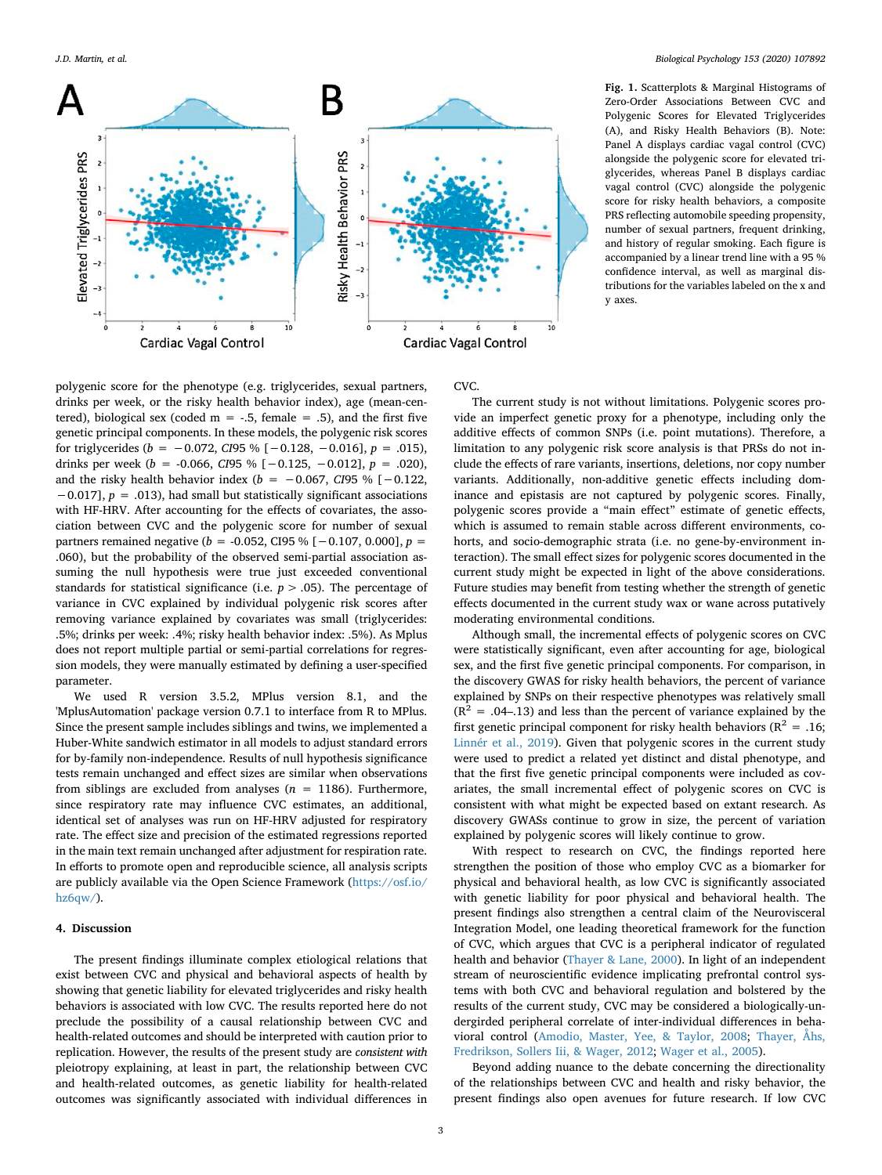<span id="page-2-0"></span>

**Fig. 1.** Scatterplots & Marginal Histograms of Zero-Order Associations Between CVC and Polygenic Scores for Elevated Triglycerides (A), and Risky Health Behaviors (B). Note: Panel A displays cardiac vagal control (CVC) alongside the polygenic score for elevated triglycerides, whereas Panel B displays cardiac vagal control (CVC) alongside the polygenic score for risky health behaviors, a composite PRS reflecting automobile speeding propensity, number of sexual partners, frequent drinking, and history of regular smoking. Each figure is accompanied by a linear trend line with a 95 % confidence interval, as well as marginal distributions for the variables labeled on the x and y axes.

# polygenic score for the phenotype (e.g. triglycerides, sexual partners, drinks per week, or the risky health behavior index), age (mean-centered), biological sex (coded  $m = -.5$ , female = .5), and the first five genetic principal components. In these models, the polygenic risk scores for triglycerides (*b* = −0.072, *CI*95 % [−0.128, −0.016], *p* = .015), drinks per week (*b* = -0.066, *CI*95 % [−0.125, −0.012], *p* = .020), and the risky health behavior index (*b* = −0.067, *CI*95 % [−0.122, −0.017], *p* = .013), had small but statistically significant associations with HF-HRV. After accounting for the effects of covariates, the association between CVC and the polygenic score for number of sexual partners remained negative (*b* = -0.052, CI95 % [−0.107, 0.000], *p* = .060), but the probability of the observed semi-partial association assuming the null hypothesis were true just exceeded conventional standards for statistical significance (i.e.  $p > .05$ ). The percentage of variance in CVC explained by individual polygenic risk scores after removing variance explained by covariates was small (triglycerides: .5%; drinks per week: .4%; risky health behavior index: .5%). As Mplus does not report multiple partial or semi-partial correlations for regression models, they were manually estimated by defining a user-specified parameter.

We used R version 3.5.2, MPlus version 8.1, and the 'MplusAutomation' package version 0.7.1 to interface from R to MPlus. Since the present sample includes siblings and twins, we implemented a Huber-White sandwich estimator in all models to adjust standard errors for by-family non-independence. Results of null hypothesis significance tests remain unchanged and effect sizes are similar when observations from siblings are excluded from analyses  $(n = 1186)$ . Furthermore, since respiratory rate may influence CVC estimates, an additional, identical set of analyses was run on HF-HRV adjusted for respiratory rate. The effect size and precision of the estimated regressions reported in the main text remain unchanged after adjustment for respiration rate. In efforts to promote open and reproducible science, all analysis scripts are publicly available via the Open Science Framework ([https://osf.io/](https://osf.io/hz6qw/) [hz6qw/\)](https://osf.io/hz6qw/).

# **4. Discussion**

The present findings illuminate complex etiological relations that exist between CVC and physical and behavioral aspects of health by showing that genetic liability for elevated triglycerides and risky health behaviors is associated with low CVC. The results reported here do not preclude the possibility of a causal relationship between CVC and health-related outcomes and should be interpreted with caution prior to replication. However, the results of the present study are *consistent with* pleiotropy explaining, at least in part, the relationship between CVC and health-related outcomes, as genetic liability for health-related outcomes was significantly associated with individual differences in

## CVC.

The current study is not without limitations. Polygenic scores provide an imperfect genetic proxy for a phenotype, including only the additive effects of common SNPs (i.e. point mutations). Therefore, a limitation to any polygenic risk score analysis is that PRSs do not include the effects of rare variants, insertions, deletions, nor copy number variants. Additionally, non-additive genetic effects including dominance and epistasis are not captured by polygenic scores. Finally, polygenic scores provide a "main effect" estimate of genetic effects, which is assumed to remain stable across different environments, cohorts, and socio-demographic strata (i.e. no gene-by-environment interaction). The small effect sizes for polygenic scores documented in the current study might be expected in light of the above considerations. Future studies may benefit from testing whether the strength of genetic effects documented in the current study wax or wane across putatively moderating environmental conditions.

Although small, the incremental effects of polygenic scores on CVC were statistically significant, even after accounting for age, biological sex, and the first five genetic principal components. For comparison, in the discovery GWAS for risky health behaviors, the percent of variance explained by SNPs on their respective phenotypes was relatively small  $(R^{2} = .04-.13)$  and less than the percent of variance explained by the first genetic principal component for risky health behaviors ( $R^2 = .16$ ; [Linnér et al., 2019](#page-3-15)). Given that polygenic scores in the current study were used to predict a related yet distinct and distal phenotype, and that the first five genetic principal components were included as covariates, the small incremental effect of polygenic scores on CVC is consistent with what might be expected based on extant research. As discovery GWASs continue to grow in size, the percent of variation explained by polygenic scores will likely continue to grow.

With respect to research on CVC, the findings reported here strengthen the position of those who employ CVC as a biomarker for physical and behavioral health, as low CVC is significantly associated with genetic liability for poor physical and behavioral health. The present findings also strengthen a central claim of the Neurovisceral Integration Model, one leading theoretical framework for the function of CVC, which argues that CVC is a peripheral indicator of regulated health and behavior [\(Thayer & Lane, 2000\)](#page-3-25). In light of an independent stream of neuroscientific evidence implicating prefrontal control systems with both CVC and behavioral regulation and bolstered by the results of the current study, CVC may be considered a biologically-undergirded peripheral correlate of inter-individual differences in behavioral control ([Amodio, Master, Yee, & Taylor, 2008;](#page-3-26) [Thayer, Åhs,](#page-3-27) [Fredrikson, Sollers Iii, & Wager, 2012](#page-3-27); [Wager et al., 2005](#page-4-2)).

Beyond adding nuance to the debate concerning the directionality of the relationships between CVC and health and risky behavior, the present findings also open avenues for future research. If low CVC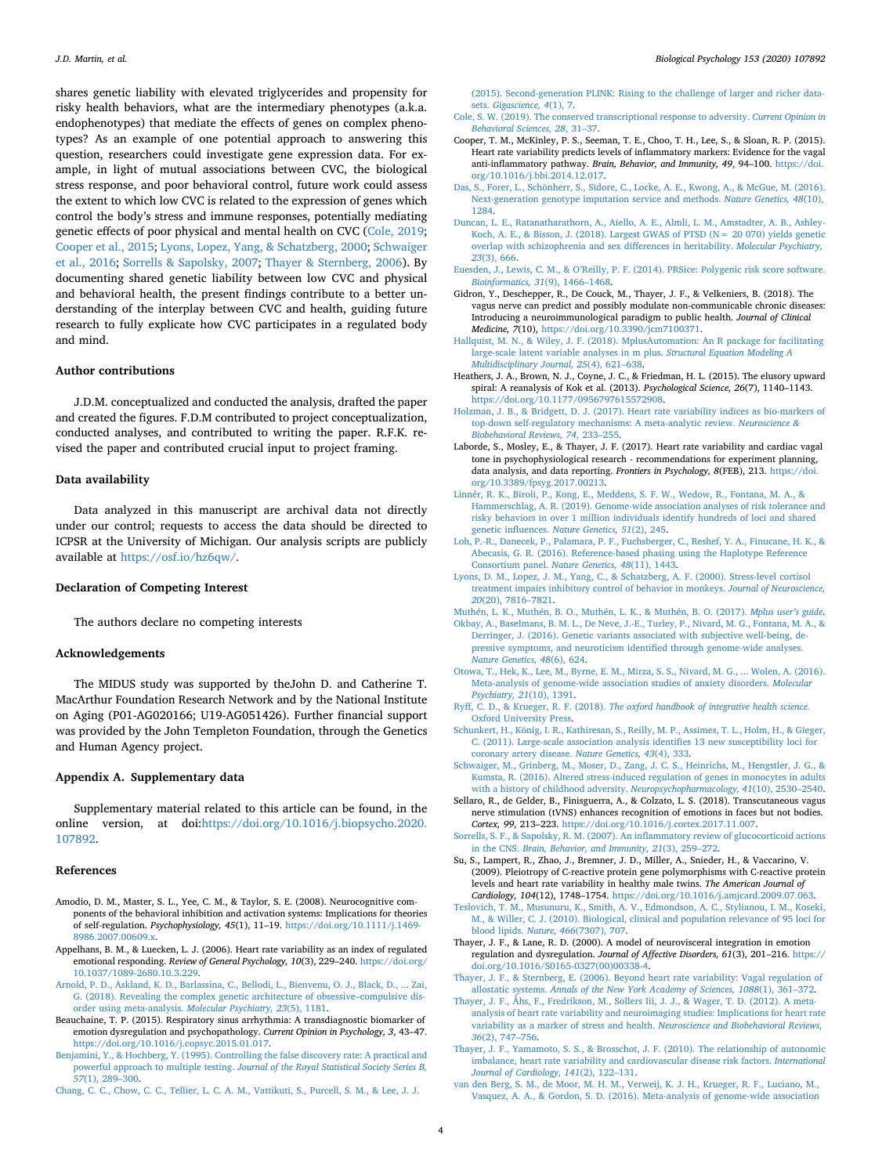shares genetic liability with elevated triglycerides and propensity for risky health behaviors, what are the intermediary phenotypes (a.k.a. endophenotypes) that mediate the effects of genes on complex phenotypes? As an example of one potential approach to answering this question, researchers could investigate gene expression data. For example, in light of mutual associations between CVC, the biological stress response, and poor behavioral control, future work could assess the extent to which low CVC is related to the expression of genes which control the body's stress and immune responses, potentially mediating genetic effects of poor physical and mental health on CVC [\(Cole, 2019](#page-3-28); [Cooper et al., 2015](#page-3-29); [Lyons, Lopez, Yang, & Schatzberg, 2000](#page-3-30); [Schwaiger](#page-3-31) [et al., 2016](#page-3-31); [Sorrells & Sapolsky, 2007;](#page-3-32) [Thayer & Sternberg, 2006\)](#page-3-33). By documenting shared genetic liability between low CVC and physical and behavioral health, the present findings contribute to a better understanding of the interplay between CVC and health, guiding future research to fully explicate how CVC participates in a regulated body and mind.

## **Author contributions**

J.D.M. conceptualized and conducted the analysis, drafted the paper and created the figures. F.D.M contributed to project conceptualization, conducted analyses, and contributed to writing the paper. R.F.K. revised the paper and contributed crucial input to project framing.

#### **Data availability**

Data analyzed in this manuscript are archival data not directly under our control; requests to access the data should be directed to ICPSR at the University of Michigan. Our analysis scripts are publicly available at <https://osf.io/hz6qw/>.

# **Declaration of Competing Interest**

The authors declare no competing interests

#### **Acknowledgements**

The MIDUS study was supported by theJohn D. and Catherine T. MacArthur Foundation Research Network and by the National Institute on Aging (P01-AG020166; U19-AG051426). Further financial support was provided by the John Templeton Foundation, through the Genetics and Human Agency project.

## **Appendix A. Supplementary data**

Supplementary material related to this article can be found, in the online version, at doi[:https://doi.org/10.1016/j.biopsycho.2020.](https://doi.org/10.1016/j.biopsycho.2020.107892) [107892.](https://doi.org/10.1016/j.biopsycho.2020.107892)

## **References**

- <span id="page-3-26"></span>Amodio, D. M., Master, S. L., Yee, C. M., & Taylor, S. E. (2008). Neurocognitive components of the behavioral inhibition and activation systems: Implications for theories of self-regulation. *Psychophysiology, 45*(1), 11–19. [https://doi.org/10.1111/j.1469-](https://doi.org/10.1111/j.1469-8986.2007.00609.x) [8986.2007.00609.x.](https://doi.org/10.1111/j.1469-8986.2007.00609.x)
- <span id="page-3-4"></span>Appelhans, B. M., & Luecken, L. J. (2006). Heart rate variability as an index of regulated emotional responding. *Review of General Psychology, 10*(3), 229–240. [https://doi.org/](https://doi.org/10.1037/1089-2680.10.3.229) [10.1037/1089-2680.10.3.229.](https://doi.org/10.1037/1089-2680.10.3.229)
- <span id="page-3-14"></span>[Arnold, P. D., Askland, K. D., Barlassina, C., Bellodi, L., Bienvenu, O. J., Black, D., ... Zai,](http://refhub.elsevier.com/S0301-0511(20)30052-1/sbref0015) [G. \(2018\). Revealing the complex genetic architecture of obsessive–compulsive dis](http://refhub.elsevier.com/S0301-0511(20)30052-1/sbref0015)[order using meta-analysis.](http://refhub.elsevier.com/S0301-0511(20)30052-1/sbref0015) *Molecular Psychiatry, 23*(5), 1181.
- <span id="page-3-0"></span>Beauchaine, T. P. (2015). Respiratory sinus arrhythmia: A transdiagnostic biomarker of emotion dysregulation and psychopathology. *Current Opinion in Psychology, 3*, 43–47. [https://doi.org/10.1016/j.copsyc.2015.01.017.](https://doi.org/10.1016/j.copsyc.2015.01.017)
- <span id="page-3-24"></span>[Benjamini, Y., & Hochberg, Y. \(1995\). Controlling the false discovery rate: A practical and](http://refhub.elsevier.com/S0301-0511(20)30052-1/sbref0025) powerful approach to multiple testing. *[Journal of the Royal Statistical Society Series B,](http://refhub.elsevier.com/S0301-0511(20)30052-1/sbref0025) 57*[\(1\), 289–300.](http://refhub.elsevier.com/S0301-0511(20)30052-1/sbref0025)
- <span id="page-3-11"></span>[Chang, C. C., Chow, C. C., Tellier, L. C. A. M., Vattikuti, S., Purcell, S. M., & Lee, J. J.](http://refhub.elsevier.com/S0301-0511(20)30052-1/sbref0030)

[\(2015\). Second-generation PLINK: Rising to the challenge of larger and richer data](http://refhub.elsevier.com/S0301-0511(20)30052-1/sbref0030)sets. *[Gigascience, 4](http://refhub.elsevier.com/S0301-0511(20)30052-1/sbref0030)*(1), 7.

- <span id="page-3-28"></span>[Cole, S. W. \(2019\). The conserved transcriptional response to adversity.](http://refhub.elsevier.com/S0301-0511(20)30052-1/sbref0035) *Current Opinion in [Behavioral Sciences, 28](http://refhub.elsevier.com/S0301-0511(20)30052-1/sbref0035)*, 31–37.
- <span id="page-3-29"></span>Cooper, T. M., McKinley, P. S., Seeman, T. E., Choo, T. H., Lee, S., & Sloan, R. P. (2015). Heart rate variability predicts levels of inflammatory markers: Evidence for the vagal anti-inflammatory pathway. *Brain, Behavior, and Immunity, 49*, 94–100. [https://doi.](https://doi.org/10.1016/j.bbi.2014.12.017) [org/10.1016/j.bbi.2014.12.017.](https://doi.org/10.1016/j.bbi.2014.12.017)
- <span id="page-3-10"></span>[Das, S., Forer, L., Schönherr, S., Sidore, C., Locke, A. E., Kwong, A., & McGue, M. \(2016\).](http://refhub.elsevier.com/S0301-0511(20)30052-1/sbref0045) [Next-generation genotype imputation service and methods.](http://refhub.elsevier.com/S0301-0511(20)30052-1/sbref0045) *Nature Genetics, 48*(10), [1284.](http://refhub.elsevier.com/S0301-0511(20)30052-1/sbref0045)
- <span id="page-3-13"></span>[Duncan, L. E., Ratanatharathorn, A., Aiello, A. E., Almli, L. M., Amstadter, A. B., Ashley-](http://refhub.elsevier.com/S0301-0511(20)30052-1/sbref0050)[Koch, A. E., & Bisson, J. \(2018\). Largest GWAS of PTSD \(N= 20 070\) yields genetic](http://refhub.elsevier.com/S0301-0511(20)30052-1/sbref0050) [overlap with schizophrenia and sex differences in heritability.](http://refhub.elsevier.com/S0301-0511(20)30052-1/sbref0050) *Molecular Psychiatry, 23*[\(3\), 666.](http://refhub.elsevier.com/S0301-0511(20)30052-1/sbref0050)
- <span id="page-3-12"></span>[Euesden, J., Lewis, C. M., & O'Reilly, P. F. \(2014\). PRSice: Polygenic risk score software.](http://refhub.elsevier.com/S0301-0511(20)30052-1/sbref0055) *[Bioinformatics, 31](http://refhub.elsevier.com/S0301-0511(20)30052-1/sbref0055)*(9), 1466–1468.
- <span id="page-3-2"></span>Gidron, Y., Deschepper, R., De Couck, M., Thayer, J. F., & Velkeniers, B. (2018). The vagus nerve can predict and possibly modulate non-communicable chronic diseases: Introducing a neuroimmunological paradigm to public health. *Journal of Clinical Medicine, 7*(10), <https://doi.org/10.3390/jcm7100371>.
- <span id="page-3-22"></span>[Hallquist, M. N., & Wiley, J. F. \(2018\). MplusAutomation: An R package for facilitating](http://refhub.elsevier.com/S0301-0511(20)30052-1/sbref0065) [large-scale latent variable analyses in m plus.](http://refhub.elsevier.com/S0301-0511(20)30052-1/sbref0065) *Structural Equation Modeling A [Multidisciplinary Journal, 25](http://refhub.elsevier.com/S0301-0511(20)30052-1/sbref0065)*(4), 621–638.
- <span id="page-3-5"></span>Heathers, J. A., Brown, N. J., Coyne, J. C., & Friedman, H. L. (2015). The elusory upward spiral: A reanalysis of Kok et al. (2013). *Psychological Science, 26*(7), 1140–1143. [https://doi.org/10.1177/0956797615572908.](https://doi.org/10.1177/0956797615572908)
- <span id="page-3-3"></span>[Holzman, J. B., & Bridgett, D. J. \(2017\). Heart rate variability indices as bio-markers of](http://refhub.elsevier.com/S0301-0511(20)30052-1/sbref0075) [top-down self-regulatory mechanisms: A meta-analytic review.](http://refhub.elsevier.com/S0301-0511(20)30052-1/sbref0075) *Neuroscience & [Biobehavioral Reviews, 74](http://refhub.elsevier.com/S0301-0511(20)30052-1/sbref0075)*, 233–255.
- <span id="page-3-21"></span>Laborde, S., Mosley, E., & Thayer, J. F. (2017). Heart rate variability and cardiac vagal tone in psychophysiological research - recommendations for experiment planning, data analysis, and data reporting. *Frontiers in Psychology, 8*(FEB), 213. [https://doi.](https://doi.org/10.3389/fpsyg.2017.00213) [org/10.3389/fpsyg.2017.00213](https://doi.org/10.3389/fpsyg.2017.00213).
- <span id="page-3-15"></span>[Linnér, R. K., Biroli, P., Kong, E., Meddens, S. F. W., Wedow, R., Fontana, M. A., &](http://refhub.elsevier.com/S0301-0511(20)30052-1/sbref0085) [Hammerschlag, A. R. \(2019\). Genome-wide association analyses of risk tolerance and](http://refhub.elsevier.com/S0301-0511(20)30052-1/sbref0085) [risky behaviors in over 1 million individuals identify hundreds of loci and shared](http://refhub.elsevier.com/S0301-0511(20)30052-1/sbref0085) genetic influences. *[Nature Genetics, 51](http://refhub.elsevier.com/S0301-0511(20)30052-1/sbref0085)*(2), 245.
- <span id="page-3-9"></span>[Loh, P.-R., Danecek, P., Palamara, P. F., Fuchsberger, C., Reshef, Y. A., Finucane, H. K., &](http://refhub.elsevier.com/S0301-0511(20)30052-1/sbref0090) [Abecasis, G. R. \(2016\). Reference-based phasing using the Haplotype Reference](http://refhub.elsevier.com/S0301-0511(20)30052-1/sbref0090) Consortium panel. *[Nature Genetics, 48](http://refhub.elsevier.com/S0301-0511(20)30052-1/sbref0090)*(11), 1443.
- <span id="page-3-30"></span>[Lyons, D. M., Lopez, J. M., Yang, C., & Schatzberg, A. F. \(2000\). Stress-level cortisol](http://refhub.elsevier.com/S0301-0511(20)30052-1/sbref0095) [treatment impairs inhibitory control of behavior in monkeys.](http://refhub.elsevier.com/S0301-0511(20)30052-1/sbref0095) *Journal of Neuroscience, 20*[\(20\), 7816–7821](http://refhub.elsevier.com/S0301-0511(20)30052-1/sbref0095).
- <span id="page-3-23"></span><span id="page-3-16"></span>[Muthén, L. K., Muthén, B. O., Muthén, L. K., & Muthén, B. O. \(2017\).](http://refhub.elsevier.com/S0301-0511(20)30052-1/sbref0100) *Mplus user's guide*. [Okbay, A., Baselmans, B. M. L., De Neve, J.-E., Turley, P., Nivard, M. G., Fontana, M. A., &](http://refhub.elsevier.com/S0301-0511(20)30052-1/sbref0105) [Derringer, J. \(2016\). Genetic variants associated with subjective well-being, de-](http://refhub.elsevier.com/S0301-0511(20)30052-1/sbref0105)
- [pressive symptoms, and neuroticism identified through genome-wide analyses.](http://refhub.elsevier.com/S0301-0511(20)30052-1/sbref0105) *[Nature Genetics, 48](http://refhub.elsevier.com/S0301-0511(20)30052-1/sbref0105)*(6), 624.
- <span id="page-3-17"></span>[Otowa, T., Hek, K., Lee, M., Byrne, E. M., Mirza, S. S., Nivard, M. G., ... Wolen, A. \(2016\).](http://refhub.elsevier.com/S0301-0511(20)30052-1/sbref0110) [Meta-analysis of genome-wide association studies of anxiety disorders.](http://refhub.elsevier.com/S0301-0511(20)30052-1/sbref0110) *Molecular [Psychiatry, 21](http://refhub.elsevier.com/S0301-0511(20)30052-1/sbref0110)*(10), 1391.
- <span id="page-3-8"></span>Ryff, C. D., & Krueger, R. F. (2018). *[The oxford handbook of integrative health science.](http://refhub.elsevier.com/S0301-0511(20)30052-1/sbref0115)* [Oxford University Press.](http://refhub.elsevier.com/S0301-0511(20)30052-1/sbref0115)
- <span id="page-3-18"></span>[Schunkert, H., König, I. R., Kathiresan, S., Reilly, M. P., Assimes, T. L., Holm, H., & Gieger,](http://refhub.elsevier.com/S0301-0511(20)30052-1/sbref0120) [C. \(2011\). Large-scale association analysis identifies 13 new susceptibility loci for](http://refhub.elsevier.com/S0301-0511(20)30052-1/sbref0120) [coronary artery disease.](http://refhub.elsevier.com/S0301-0511(20)30052-1/sbref0120) *Nature Genetics, 43*(4), 333.
- <span id="page-3-31"></span>[Schwaiger, M., Grinberg, M., Moser, D., Zang, J. C. S., Heinrichs, M., Hengstler, J. G., &](http://refhub.elsevier.com/S0301-0511(20)30052-1/sbref0125) [Kumsta, R. \(2016\). Altered stress-induced regulation of genes in monocytes in adults](http://refhub.elsevier.com/S0301-0511(20)30052-1/sbref0125) [with a history of childhood adversity.](http://refhub.elsevier.com/S0301-0511(20)30052-1/sbref0125) *Neuropsychopharmacology, 41*(10), 2530–2540.
- <span id="page-3-6"></span>Sellaro, R., de Gelder, B., Finisguerra, A., & Colzato, L. S. (2018). Transcutaneous vagus nerve stimulation (tVNS) enhances recognition of emotions in faces but not bodies. *Cortex, 99*, 213–223. <https://doi.org/10.1016/j.cortex.2017.11.007>.
- <span id="page-3-32"></span>[Sorrells, S. F., & Sapolsky, R. M. \(2007\). An inflammatory review of glucocorticoid actions](http://refhub.elsevier.com/S0301-0511(20)30052-1/sbref0135) in the CNS. *[Brain, Behavior, and Immunity, 21](http://refhub.elsevier.com/S0301-0511(20)30052-1/sbref0135)*(3), 259–272.
- <span id="page-3-7"></span>Su, S., Lampert, R., Zhao, J., Bremner, J. D., Miller, A., Snieder, H., & Vaccarino, V. (2009). Pleiotropy of C-reactive protein gene polymorphisms with C-reactive protein levels and heart rate variability in healthy male twins. *The American Journal of Cardiology, 104*(12), 1748–1754. [https://doi.org/10.1016/j.amjcard.2009.07.063.](https://doi.org/10.1016/j.amjcard.2009.07.063)
- <span id="page-3-19"></span>[Teslovich, T. M., Musunuru, K., Smith, A. V., Edmondson, A. C., Stylianou, I. M., Koseki,](http://refhub.elsevier.com/S0301-0511(20)30052-1/sbref0145) [M., & Willer, C. J. \(2010\). Biological, clinical and population relevance of 95 loci for](http://refhub.elsevier.com/S0301-0511(20)30052-1/sbref0145) [blood lipids.](http://refhub.elsevier.com/S0301-0511(20)30052-1/sbref0145) *Nature, 466*(7307), 707.
- <span id="page-3-25"></span>Thayer, J. F., & Lane, R. D. (2000). A model of neurovisceral integration in emotion regulation and dysregulation. *Journal of Affective Disorders, 61*(3), 201–216. [https://](https://doi.org/10.1016/S0165-0327(00)00338-4) [doi.org/10.1016/S0165-0327\(00\)00338-4.](https://doi.org/10.1016/S0165-0327(00)00338-4)
- <span id="page-3-33"></span>[Thayer, J. F., & Sternberg, E. \(2006\). Beyond heart rate variability: Vagal regulation of](http://refhub.elsevier.com/S0301-0511(20)30052-1/sbref0155) allostatic systems. *[Annals of the New York Academy of Sciences, 1088](http://refhub.elsevier.com/S0301-0511(20)30052-1/sbref0155)*(1), 361–372.
- <span id="page-3-27"></span>[Thayer, J. F., Åhs, F., Fredrikson, M., Sollers Iii, J. J., & Wager, T. D. \(2012\). A meta](http://refhub.elsevier.com/S0301-0511(20)30052-1/sbref0160)[analysis of heart rate variability and neuroimaging studies: Implications for heart rate](http://refhub.elsevier.com/S0301-0511(20)30052-1/sbref0160) [variability as a marker of stress and health.](http://refhub.elsevier.com/S0301-0511(20)30052-1/sbref0160) *Neuroscience and Biobehavioral Reviews, 36*[\(2\), 747–756.](http://refhub.elsevier.com/S0301-0511(20)30052-1/sbref0160)
- <span id="page-3-1"></span>[Thayer, J. F., Yamamoto, S. S., & Brosschot, J. F. \(2010\). The relationship of autonomic](http://refhub.elsevier.com/S0301-0511(20)30052-1/sbref0165) [imbalance, heart rate variability and cardiovascular disease risk factors.](http://refhub.elsevier.com/S0301-0511(20)30052-1/sbref0165) *International [Journal of Cardiology, 141](http://refhub.elsevier.com/S0301-0511(20)30052-1/sbref0165)*(2), 122–131.
- <span id="page-3-20"></span>[van den Berg, S. M., de Moor, M. H. M., Verweij, K. J. H., Krueger, R. F., Luciano, M.,](http://refhub.elsevier.com/S0301-0511(20)30052-1/sbref0170) [Vasquez, A. A., & Gordon, S. D. \(2016\). Meta-analysis of genome-wide association](http://refhub.elsevier.com/S0301-0511(20)30052-1/sbref0170)